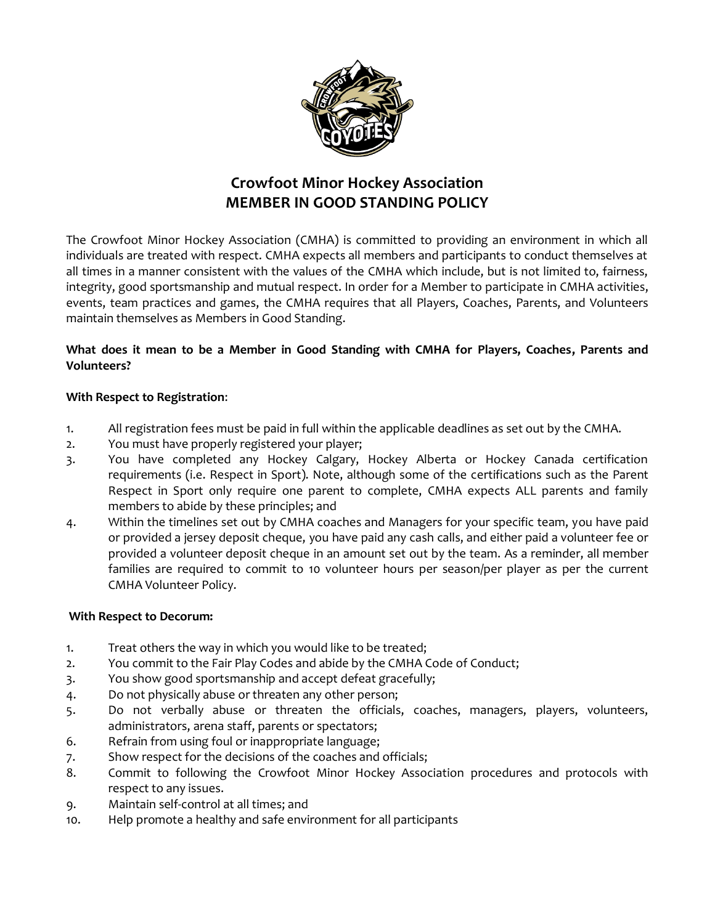

# **Crowfoot Minor Hockey Association MEMBER IN GOOD STANDING POLICY**

The Crowfoot Minor Hockey Association (CMHA) is committed to providing an environment in which all individuals are treated with respect. CMHA expects all members and participants to conduct themselves at all times in a manner consistent with the values of the CMHA which include, but is not limited to, fairness, integrity, good sportsmanship and mutual respect. In order for a Member to participate in CMHA activities, events, team practices and games, the CMHA requires that all Players, Coaches, Parents, and Volunteers maintain themselves as Members in Good Standing.

## **What does it mean to be a Member in Good Standing with CMHA for Players, Coaches, Parents and Volunteers?**

#### **With Respect to Registration**:

- 1. All registration fees must be paid in full within the applicable deadlines as set out by the CMHA.
- 2. You must have properly registered your player;
- 3. You have completed any Hockey Calgary, Hockey Alberta or Hockey Canada certification requirements (i.e. Respect in Sport). Note, although some of the certifications such as the Parent Respect in Sport only require one parent to complete, CMHA expects ALL parents and family members to abide by these principles; and
- 4. Within the timelines set out by CMHA coaches and Managers for your specific team, you have paid or provided a jersey deposit cheque, you have paid any cash calls, and either paid a volunteer fee or provided a volunteer deposit cheque in an amount set out by the team. As a reminder, all member families are required to commit to 10 volunteer hours per season/per player as per the current CMHA Volunteer Policy.

#### **With Respect to Decorum:**

- 1. Treat others the way in which you would like to be treated;
- 2. You commit to the Fair Play Codes and abide by the CMHA Code of Conduct;
- 3. You show good sportsmanship and accept defeat gracefully;
- 4. Do not physically abuse or threaten any other person;
- 5. Do not verbally abuse or threaten the officials, coaches, managers, players, volunteers, administrators, arena staff, parents or spectators;
- 6. Refrain from using foul or inappropriate language;
- 7. Show respect for the decisions of the coaches and officials;
- 8. Commit to following the Crowfoot Minor Hockey Association procedures and protocols with respect to any issues.
- 9. Maintain self-control at all times; and
- 10. Help promote a healthy and safe environment for all participants